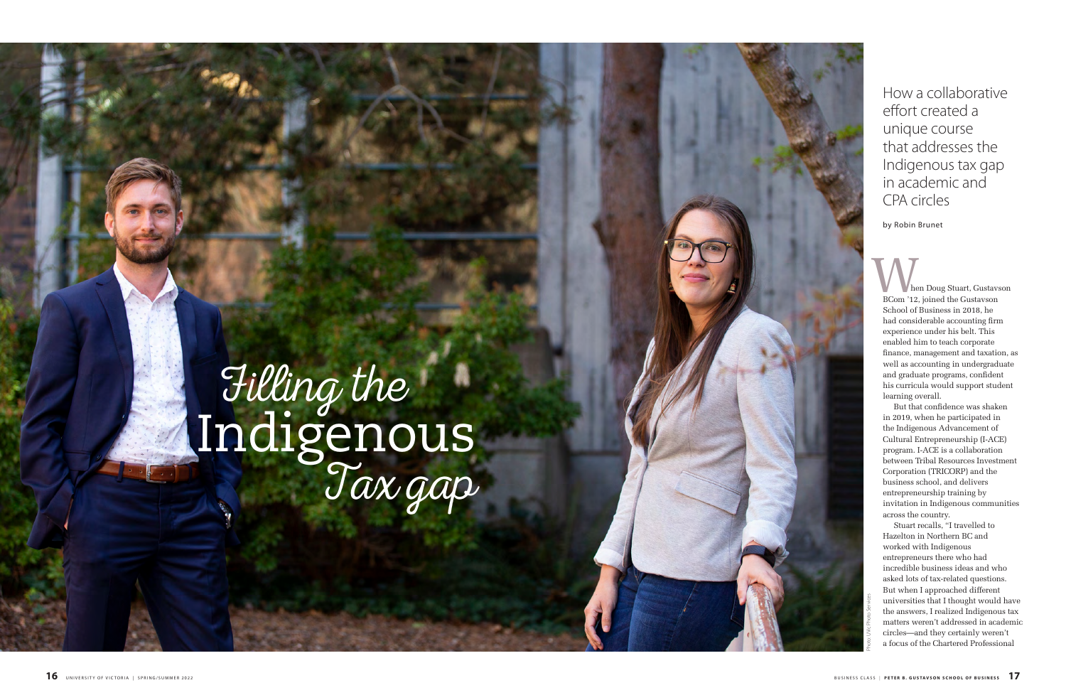hen Doug Stuart, Gustavson BCom '12, joined the Gustavson School of Business in 2018, he had considerable accounting firm experience under his belt. This enabled him to teach corporate finance, management and taxation, as well as accounting in undergraduate and graduate programs, confident his curricula would support student learning overall.

Stuart recalls, "I travelled to Hazelton in Northern BC and worked with Indigenous entrepreneurs there who had incredible business ideas and who asked lots of tax-related questions. But when I approached different universities that I thought would have the answers, I realized Indigenous tax matters weren't addressed in academic circles—and they certainly weren't **Example 12**<br> **Example 15**<br>
Then Doug Stuart, Gustavson<br>
School of Business in 2018, he<br>
had considerable accounting firm<br>
experience under his belt. This<br>
emabled him to teach corporate<br>
finance, management and taxation,

But that confidence was shaken in 2019, when he participated in the Indigenous Advancement of Cultural Entrepreneurship (I-ACE) program. I-ACE is a collaboration between Tribal Resources Investment Corporation (TRICORP) and the business school, and delivers entrepreneurship training by invitation in Indigenous communities across the country.

How a collaborative effort created a unique course that addresses the Indigenous tax gap in academic and CPA circles

## Indigenous Filling the Tax gap

by Robin Brunet

Photo: UVic Photo Services